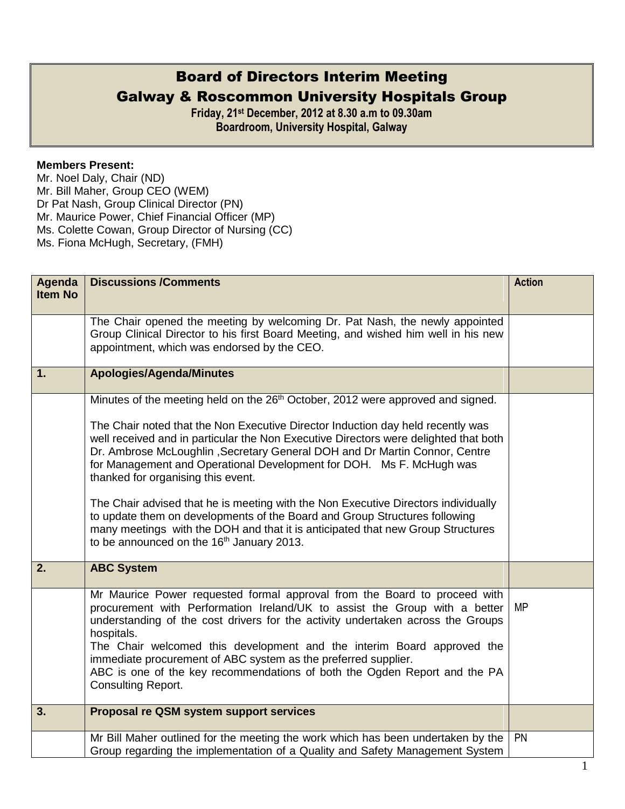## Board of Directors Interim Meeting Galway & Roscommon University Hospitals Group

**Friday, 21st December, 2012 at 8.30 a.m to 09.30am Boardroom, University Hospital, Galway**

## **Members Present:**

Mr. Noel Daly, Chair (ND) Mr. Bill Maher, Group CEO (WEM) Dr Pat Nash, Group Clinical Director (PN) Mr. Maurice Power, Chief Financial Officer (MP) Ms. Colette Cowan, Group Director of Nursing (CC) Ms. Fiona McHugh, Secretary, (FMH)

| Agenda         | <b>Discussions /Comments</b>                                                                                                                                                                                                                                                                                                                                                                                                                                                                                                                                                                                                                                                                                              | <b>Action</b> |
|----------------|---------------------------------------------------------------------------------------------------------------------------------------------------------------------------------------------------------------------------------------------------------------------------------------------------------------------------------------------------------------------------------------------------------------------------------------------------------------------------------------------------------------------------------------------------------------------------------------------------------------------------------------------------------------------------------------------------------------------------|---------------|
| <b>Item No</b> |                                                                                                                                                                                                                                                                                                                                                                                                                                                                                                                                                                                                                                                                                                                           |               |
|                | The Chair opened the meeting by welcoming Dr. Pat Nash, the newly appointed<br>Group Clinical Director to his first Board Meeting, and wished him well in his new<br>appointment, which was endorsed by the CEO.                                                                                                                                                                                                                                                                                                                                                                                                                                                                                                          |               |
| 1.             | <b>Apologies/Agenda/Minutes</b>                                                                                                                                                                                                                                                                                                                                                                                                                                                                                                                                                                                                                                                                                           |               |
|                | Minutes of the meeting held on the 26 <sup>th</sup> October, 2012 were approved and signed.<br>The Chair noted that the Non Executive Director Induction day held recently was<br>well received and in particular the Non Executive Directors were delighted that both<br>Dr. Ambrose McLoughlin, Secretary General DOH and Dr Martin Connor, Centre<br>for Management and Operational Development for DOH. Ms F. McHugh was<br>thanked for organising this event.<br>The Chair advised that he is meeting with the Non Executive Directors individually<br>to update them on developments of the Board and Group Structures following<br>many meetings with the DOH and that it is anticipated that new Group Structures |               |
|                | to be announced on the 16 <sup>th</sup> January 2013.                                                                                                                                                                                                                                                                                                                                                                                                                                                                                                                                                                                                                                                                     |               |
| 2.             | <b>ABC System</b>                                                                                                                                                                                                                                                                                                                                                                                                                                                                                                                                                                                                                                                                                                         |               |
|                | Mr Maurice Power requested formal approval from the Board to proceed with<br>procurement with Performation Ireland/UK to assist the Group with a better<br>understanding of the cost drivers for the activity undertaken across the Groups<br>hospitals.<br>The Chair welcomed this development and the interim Board approved the<br>immediate procurement of ABC system as the preferred supplier.<br>ABC is one of the key recommendations of both the Ogden Report and the PA<br><b>Consulting Report.</b>                                                                                                                                                                                                            | <b>MP</b>     |
| 3.             | Proposal re QSM system support services                                                                                                                                                                                                                                                                                                                                                                                                                                                                                                                                                                                                                                                                                   |               |
|                | Mr Bill Maher outlined for the meeting the work which has been undertaken by the<br>Group regarding the implementation of a Quality and Safety Management System                                                                                                                                                                                                                                                                                                                                                                                                                                                                                                                                                          | <b>PN</b>     |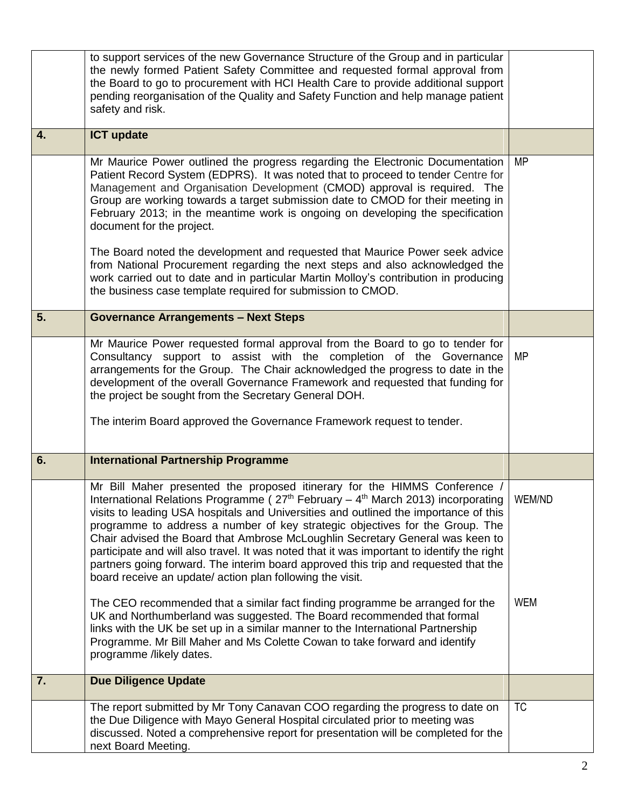|    | to support services of the new Governance Structure of the Group and in particular<br>the newly formed Patient Safety Committee and requested formal approval from<br>the Board to go to procurement with HCI Health Care to provide additional support<br>pending reorganisation of the Quality and Safety Function and help manage patient<br>safety and risk.                                                                                                                                                                                                                                                                                                              |            |
|----|-------------------------------------------------------------------------------------------------------------------------------------------------------------------------------------------------------------------------------------------------------------------------------------------------------------------------------------------------------------------------------------------------------------------------------------------------------------------------------------------------------------------------------------------------------------------------------------------------------------------------------------------------------------------------------|------------|
| 4. | <b>ICT update</b>                                                                                                                                                                                                                                                                                                                                                                                                                                                                                                                                                                                                                                                             |            |
|    | Mr Maurice Power outlined the progress regarding the Electronic Documentation<br>Patient Record System (EDPRS). It was noted that to proceed to tender Centre for<br>Management and Organisation Development (CMOD) approval is required. The<br>Group are working towards a target submission date to CMOD for their meeting in<br>February 2013; in the meantime work is ongoing on developing the specification<br>document for the project.                                                                                                                                                                                                                               | MP         |
|    | The Board noted the development and requested that Maurice Power seek advice<br>from National Procurement regarding the next steps and also acknowledged the<br>work carried out to date and in particular Martin Molloy's contribution in producing<br>the business case template required for submission to CMOD.                                                                                                                                                                                                                                                                                                                                                           |            |
| 5. | <b>Governance Arrangements - Next Steps</b>                                                                                                                                                                                                                                                                                                                                                                                                                                                                                                                                                                                                                                   |            |
|    | Mr Maurice Power requested formal approval from the Board to go to tender for<br>Consultancy support to assist with the completion of the Governance<br>arrangements for the Group. The Chair acknowledged the progress to date in the<br>development of the overall Governance Framework and requested that funding for<br>the project be sought from the Secretary General DOH.<br>The interim Board approved the Governance Framework request to tender.                                                                                                                                                                                                                   | MP         |
| 6. | <b>International Partnership Programme</b>                                                                                                                                                                                                                                                                                                                                                                                                                                                                                                                                                                                                                                    |            |
|    | Mr Bill Maher presented the proposed itinerary for the HIMMS Conference /<br>International Relations Programme ( $27th$ February – $4th$ March 2013) incorporating<br>visits to leading USA hospitals and Universities and outlined the importance of this<br>programme to address a number of key strategic objectives for the Group. The<br>Chair advised the Board that Ambrose McLoughlin Secretary General was keen to<br>participate and will also travel. It was noted that it was important to identify the right<br>partners going forward. The interim board approved this trip and requested that the<br>board receive an update/ action plan following the visit. | WEM/ND     |
|    | The CEO recommended that a similar fact finding programme be arranged for the<br>UK and Northumberland was suggested. The Board recommended that formal<br>links with the UK be set up in a similar manner to the International Partnership<br>Programme. Mr Bill Maher and Ms Colette Cowan to take forward and identify<br>programme /likely dates.                                                                                                                                                                                                                                                                                                                         | <b>WEM</b> |
| 7. | <b>Due Diligence Update</b>                                                                                                                                                                                                                                                                                                                                                                                                                                                                                                                                                                                                                                                   |            |
|    | The report submitted by Mr Tony Canavan COO regarding the progress to date on<br>the Due Diligence with Mayo General Hospital circulated prior to meeting was<br>discussed. Noted a comprehensive report for presentation will be completed for the<br>next Board Meeting.                                                                                                                                                                                                                                                                                                                                                                                                    | <b>TC</b>  |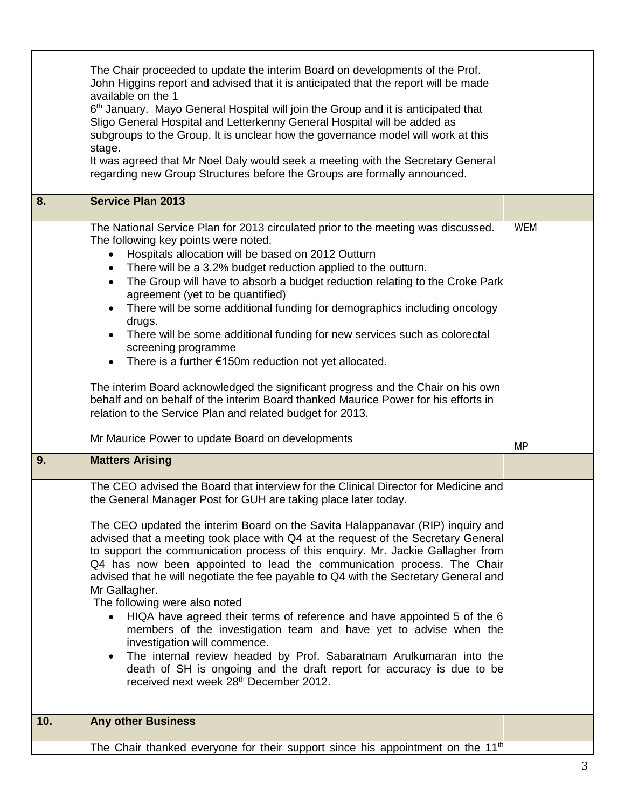|     | The Chair proceeded to update the interim Board on developments of the Prof.<br>John Higgins report and advised that it is anticipated that the report will be made<br>available on the 1<br>6 <sup>th</sup> January. Mayo General Hospital will join the Group and it is anticipated that<br>Sligo General Hospital and Letterkenny General Hospital will be added as<br>subgroups to the Group. It is unclear how the governance model will work at this<br>stage.<br>It was agreed that Mr Noel Daly would seek a meeting with the Secretary General<br>regarding new Group Structures before the Groups are formally announced.                                                                                                                                                                                                                                                                                                                                                                                       |            |
|-----|---------------------------------------------------------------------------------------------------------------------------------------------------------------------------------------------------------------------------------------------------------------------------------------------------------------------------------------------------------------------------------------------------------------------------------------------------------------------------------------------------------------------------------------------------------------------------------------------------------------------------------------------------------------------------------------------------------------------------------------------------------------------------------------------------------------------------------------------------------------------------------------------------------------------------------------------------------------------------------------------------------------------------|------------|
| 8.  | <b>Service Plan 2013</b>                                                                                                                                                                                                                                                                                                                                                                                                                                                                                                                                                                                                                                                                                                                                                                                                                                                                                                                                                                                                  |            |
|     | The National Service Plan for 2013 circulated prior to the meeting was discussed.<br>The following key points were noted.<br>Hospitals allocation will be based on 2012 Outturn<br>There will be a 3.2% budget reduction applied to the outturn.<br>The Group will have to absorb a budget reduction relating to the Croke Park<br>$\bullet$<br>agreement (yet to be quantified)<br>There will be some additional funding for demographics including oncology<br>drugs.<br>There will be some additional funding for new services such as colorectal<br>screening programme<br>There is a further $€150m$ reduction not yet allocated.<br>The interim Board acknowledged the significant progress and the Chair on his own<br>behalf and on behalf of the interim Board thanked Maurice Power for his efforts in<br>relation to the Service Plan and related budget for 2013.                                                                                                                                             | <b>WEM</b> |
|     | Mr Maurice Power to update Board on developments                                                                                                                                                                                                                                                                                                                                                                                                                                                                                                                                                                                                                                                                                                                                                                                                                                                                                                                                                                          | <b>MP</b>  |
| 9.  | <b>Matters Arising</b>                                                                                                                                                                                                                                                                                                                                                                                                                                                                                                                                                                                                                                                                                                                                                                                                                                                                                                                                                                                                    |            |
|     | The CEO advised the Board that interview for the Clinical Director for Medicine and<br>the General Manager Post for GUH are taking place later today.<br>The CEO updated the interim Board on the Savita Halappanavar (RIP) inquiry and<br>advised that a meeting took place with Q4 at the request of the Secretary General<br>to support the communication process of this enquiry. Mr. Jackie Gallagher from<br>Q4 has now been appointed to lead the communication process. The Chair<br>advised that he will negotiate the fee payable to Q4 with the Secretary General and<br>Mr Gallagher.<br>The following were also noted<br>HIQA have agreed their terms of reference and have appointed 5 of the 6<br>members of the investigation team and have yet to advise when the<br>investigation will commence.<br>The internal review headed by Prof. Sabaratnam Arulkumaran into the<br>$\bullet$<br>death of SH is ongoing and the draft report for accuracy is due to be<br>received next week 28th December 2012. |            |
| 10. | <b>Any other Business</b>                                                                                                                                                                                                                                                                                                                                                                                                                                                                                                                                                                                                                                                                                                                                                                                                                                                                                                                                                                                                 |            |
|     | The Chair thanked everyone for their support since his appointment on the 11 <sup>th</sup>                                                                                                                                                                                                                                                                                                                                                                                                                                                                                                                                                                                                                                                                                                                                                                                                                                                                                                                                |            |